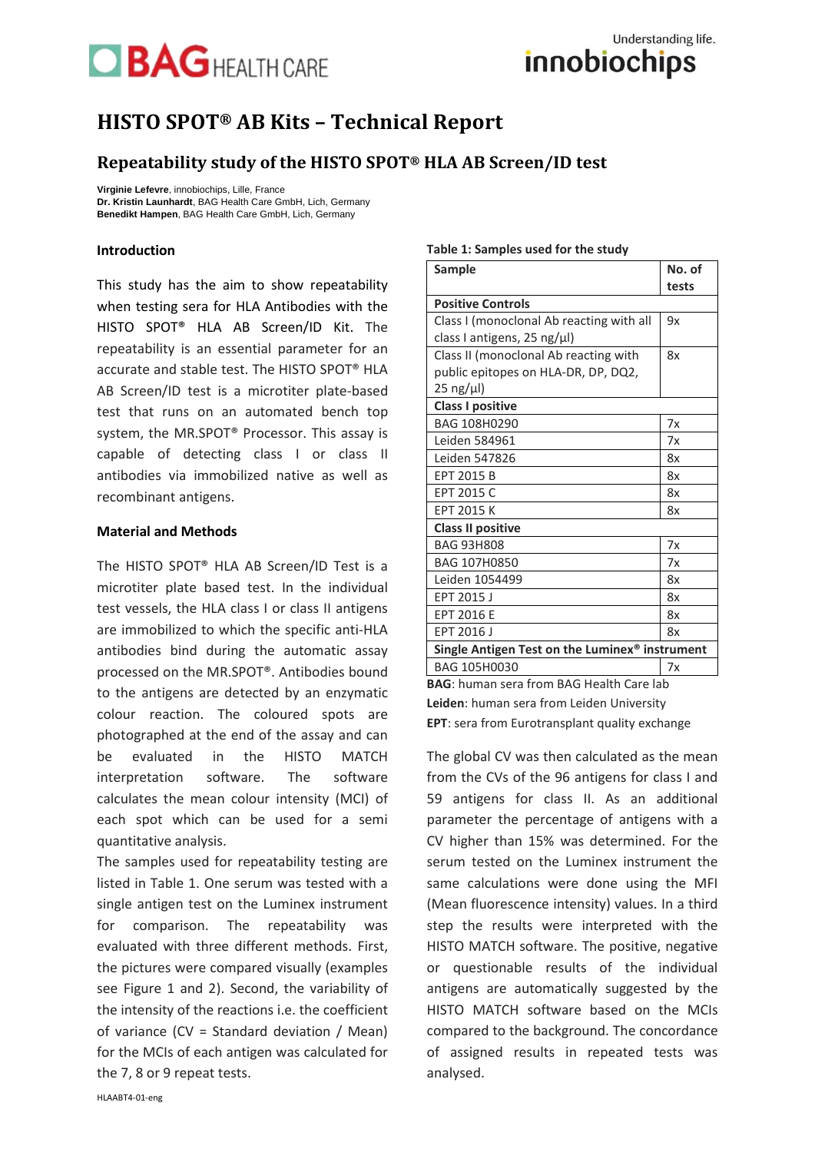## **BAGHEALTH CARE**

### **HISTO SPOT® AB Kits – Technical Report**

### **Repeatability study of the HISTO SPOT® HLA AB Screen/ID test**

**Virginie Lefevre**, innobiochips, Lille, France **Dr. Kristin Launhardt**, BAG Health Care GmbH, Lich, Germany **Benedikt Hampen**, BAG Health Care GmbH, Lich, Germany

### **Introduction**

This study has the aim to show repeatability when testing sera for HLA Antibodies with the HISTO SPOT® HLA AB Screen/ID Kit. The repeatability is an essential parameter for an accurate and stable test. The HISTO SPOT® HLA AB Screen/ID test is a microtiter plate-based test that runs on an automated bench top system, the MR.SPOT® Processor. This assay is capable of detecting class I or class II antibodies via immobilized native as well as recombinant antigens.

### **Material and Methods**

The HISTO SPOT® HLA AB Screen/ID Test is a microtiter plate based test. In the individual test vessels, the HLA class I or class II antigens are immobilized to which the specific anti-HLA antibodies bind during the automatic assay processed on the MR.SPOT®. Antibodies bound to the antigens are detected by an enzymatic colour reaction. The coloured spots are photographed at the end of the assay and can be evaluated in the HISTO MATCH interpretation software. The software calculates the mean colour intensity (MCI) of each spot which can be used for a semi quantitative analysis.

The samples used for repeatability testing are listed in Table 1. One serum was tested with a single antigen test on the Luminex instrument for comparison. The repeatability was evaluated with three different methods. First, the pictures were compared visually (examples see Figure 1 and 2). Second, the variability of the intensity of the reactions i.e. the coefficient of variance (CV = Standard deviation / Mean) for the MCIs of each antigen was calculated for the 7, 8 or 9 repeat tests.

#### **Table 1: Samples used for the study**

| Sample                                         | No. of |  |  |  |  |
|------------------------------------------------|--------|--|--|--|--|
|                                                | tests  |  |  |  |  |
| <b>Positive Controls</b>                       |        |  |  |  |  |
| Class I (monoclonal Ab reacting with all       | 9x     |  |  |  |  |
| class I antigens, 25 ng/µl)                    |        |  |  |  |  |
| Class II (monoclonal Ab reacting with          | 8x     |  |  |  |  |
| public epitopes on HLA-DR, DP, DQ2,            |        |  |  |  |  |
| $25$ ng/ $\mu$ l)                              |        |  |  |  |  |
| <b>Class I positive</b>                        |        |  |  |  |  |
| BAG 108H0290                                   | 7x     |  |  |  |  |
| Leiden 584961                                  | 7x     |  |  |  |  |
| Leiden 547826                                  | 8x     |  |  |  |  |
| EPT 2015 B                                     | 8x     |  |  |  |  |
| EPT 2015 C                                     | 8x     |  |  |  |  |
| <b>EPT 2015 K</b>                              | 8x     |  |  |  |  |
| <b>Class II positive</b>                       |        |  |  |  |  |
| <b>BAG 93H808</b>                              | 7x     |  |  |  |  |
| BAG 107H0850                                   | 7x     |  |  |  |  |
| Leiden 1054499                                 | 8x     |  |  |  |  |
| EPT 2015 J                                     | 8x     |  |  |  |  |
| EPT 2016 E                                     | 8x     |  |  |  |  |
| EPT 2016 J                                     | 8x     |  |  |  |  |
| Single Antigen Test on the Luminex® instrument |        |  |  |  |  |
| BAG 105H0030                                   | 7x     |  |  |  |  |

**BAG**: human sera from BAG Health Care lab **Leiden**: human sera from Leiden University **EPT**: sera from Eurotransplant quality exchange

The global CV was then calculated as the mean from the CVs of the 96 antigens for class I and 59 antigens for class II. As an additional parameter the percentage of antigens with a CV higher than 15% was determined. For the serum tested on the Luminex instrument the same calculations were done using the MFI (Mean fluorescence intensity) values. In a third step the results were interpreted with the HISTO MATCH software. The positive, negative or questionable results of the individual antigens are automatically suggested by the HISTO MATCH software based on the MCIs compared to the background. The concordance of assigned results in repeated tests was analysed.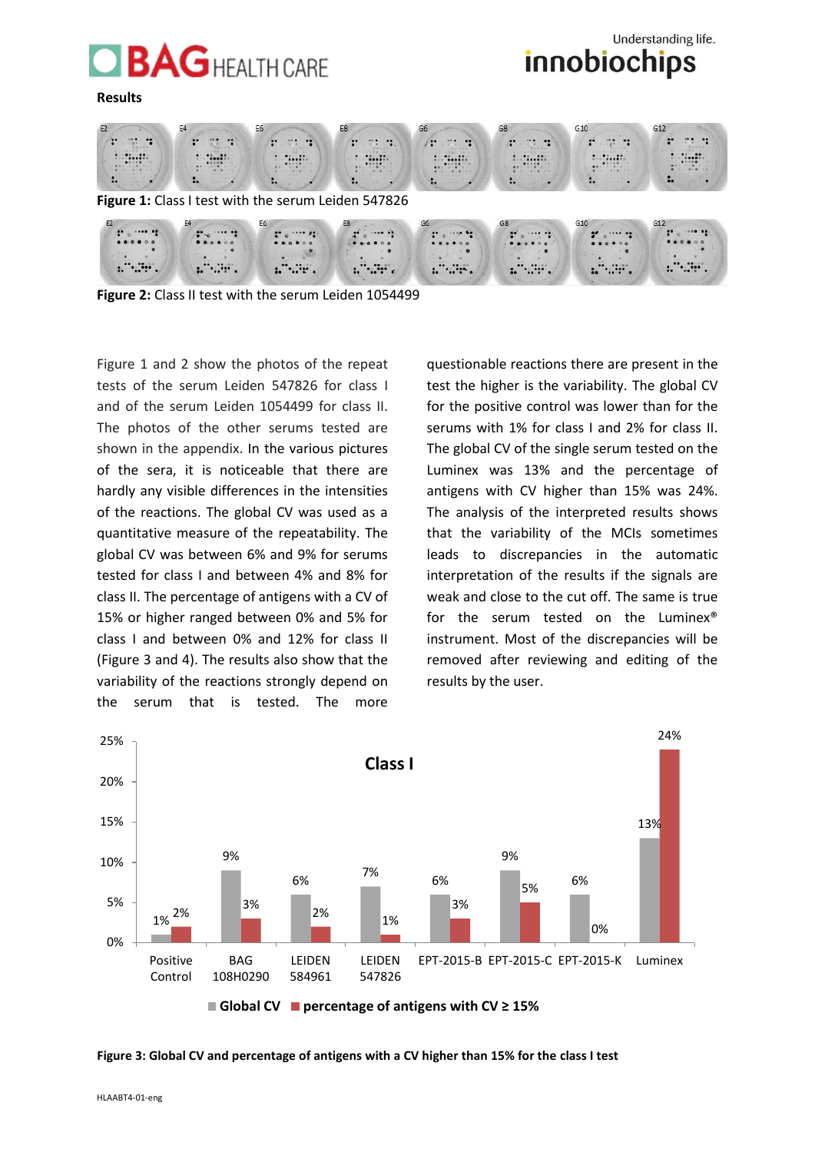## **BAGHEALTH CARE**

#### **Results**





**Figure 2:** Class II test with the serum Leiden 1054499

Figure 1 and 2 show the photos of the repeat tests of the serum Leiden 547826 for class I and of the serum Leiden 1054499 for class II. The photos of the other serums tested are shown in the appendix. In the various pictures of the sera, it is noticeable that there are hardly any visible differences in the intensities of the reactions. The global CV was used as a quantitative measure of the repeatability. The global CV was between 6% and 9% for serums tested for class I and between 4% and 8% for class II. The percentage of antigens with a CV of 15% or higher ranged between 0% and 5% for class I and between 0% and 12% for class II (Figure 3 and 4). The results also show that the variability of the reactions strongly depend on the serum that is tested. The more

questionable reactions there are present in the test the higher is the variability. The global CV for the positive control was lower than for the serums with 1% for class I and 2% for class II. The global CV of the single serum tested on the Luminex was 13% and the percentage of antigens with CV higher than 15% was 24%. The analysis of the interpreted results shows that the variability of the MCIs sometimes leads to discrepancies in the automatic interpretation of the results if the signals are weak and close to the cut off. The same is true for the serum tested on the Luminex® instrument. Most of the discrepancies will be removed after reviewing and editing of the results by the user.



**Figure 3: Global CV and percentage of antigens with a CV higher than 15% for the class I test**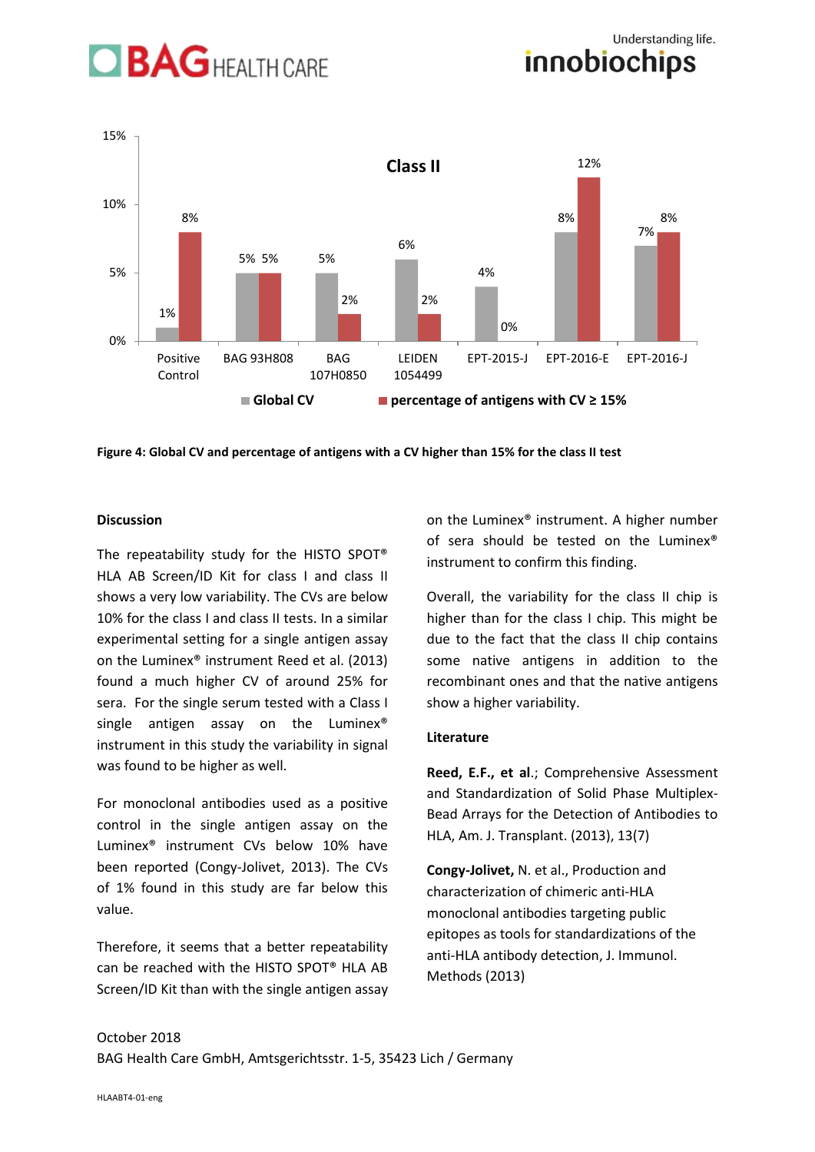# **BAGHEALTH CARE**





**Figure 4: Global CV and percentage of antigens with a CV higher than 15% for the class II test**

### **Discussion**

The repeatability study for the HISTO SPOT® HLA AB Screen/ID Kit for class I and class II shows a very low variability. The CVs are below 10% for the class I and class II tests. In a similar experimental setting for a single antigen assay on the Luminex® instrument Reed et al. (2013) found a much higher CV of around 25% for sera. For the single serum tested with a Class I single antigen assay on the Luminex<sup>®</sup> instrument in this study the variability in signal was found to be higher as well.

For monoclonal antibodies used as a positive control in the single antigen assay on the Luminex® instrument CVs below 10% have been reported (Congy-Jolivet, 2013). The CVs of 1% found in this study are far below this value.

Therefore, it seems that a better repeatability can be reached with the HISTO SPOT® HLA AB Screen/ID Kit than with the single antigen assay on the Luminex® instrument. A higher number of sera should be tested on the Luminex® instrument to confirm this finding.

Overall, the variability for the class II chip is higher than for the class I chip. This might be due to the fact that the class II chip contains some native antigens in addition to the recombinant ones and that the native antigens show a higher variability.

### **Literature**

**Reed, E.F., et al**.; Comprehensive Assessment and Standardization of Solid Phase Multiplex-Bead Arrays for the Detection of Antibodies to HLA, Am. J. Transplant. (2013), 13(7)

**Congy-Jolivet,** N. et al., Production and characterization of chimeric anti-HLA monoclonal antibodies targeting public epitopes as tools for standardizations of the anti-HLA antibody detection, J. Immunol. Methods (2013)